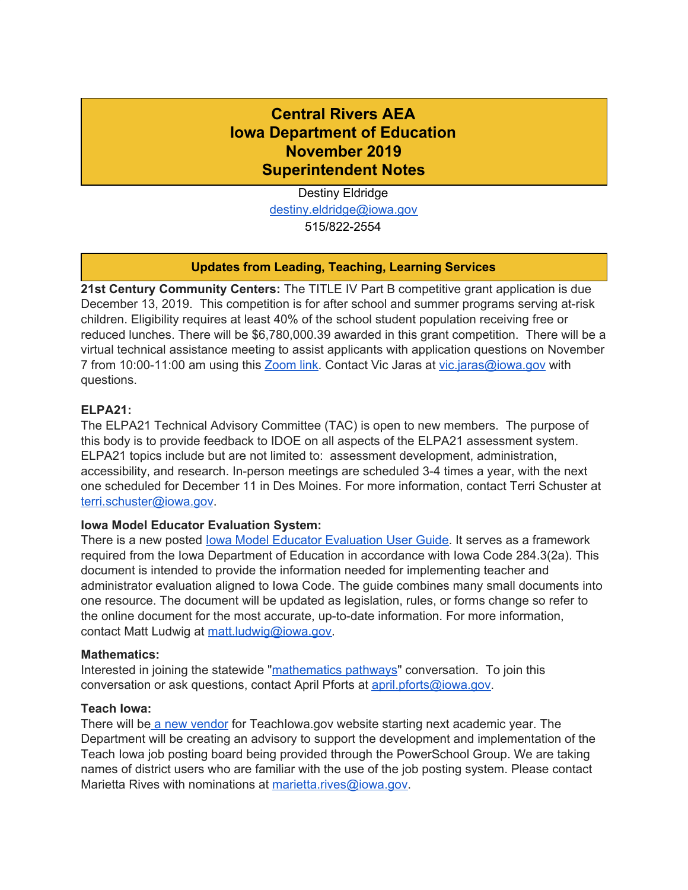# **Central Rivers AEA Iowa Department of Education November 2019 Superintendent Notes**

Destiny Eldridge [destiny.eldridge@iowa.gov](mailto:Destiny.Eldridge@iowa.gov) 515/822-2554

### **Updates from Leading, Teaching, Learning Services**

**21st Century Community Centers:** The TITLE IV Part B competitive grant application is due December 13, 2019. This competition is for after school and summer programs serving at-risk children. Eligibility requires at least 40% of the school student population receiving free or reduced lunches. There will be \$6,780,000.39 awarded in this grant competition. There will be a virtual technical assistance meeting to assist applicants with application questions on November 7 from 10:00-11:00 am using this [Zoom](http://idoe.zoom.us/my/vicjaras) link. Contact Vic Jaras at [vic.jaras@iowa.gov](mailto:vic.jaras@iowa.gov) with questions.

### **ELPA21:**

The ELPA21 Technical Advisory Committee (TAC) is open to new members. The purpose of this body is to provide feedback to IDOE on all aspects of the ELPA21 assessment system. ELPA21 topics include but are not limited to: assessment development, administration, accessibility, and research. In-person meetings are scheduled 3-4 times a year, with the next one scheduled for December 11 in Des Moines. For more information, contact Terri Schuster at [terri.schuster@iowa.gov](mailto:terri.schuster@iowa.gov).

### **Iowa Model Educator Evaluation System:**

There is a new posted Iowa Model Educator [Evaluation](https://educateiowa.gov/sites/files/ed/documents/IaMEES.pdf) User Guide. It serves as a framework required from the Iowa Department of Education in accordance with Iowa Code 284.3(2a). This document is intended to provide the information needed for implementing teacher and administrator evaluation aligned to Iowa Code. The guide combines many small documents into one resource. The document will be updated as legislation, rules, or forms change so refer to the online document for the most accurate, up-to-date information. For more information, contact Matt Ludwig at [matt.ludwig@iowa.gov.](mailto:matt.ludwig@iowa.gov)

### **Mathematics:**

Interested in joining the statewide ["mathematics](https://sites.google.com/aealearningonline.org/iowacbms/home) pathways" conversation. To join this conversation or ask questions, contact April Pforts at [april.pforts@iowa.gov.](mailto:april.pforts@iowa.gov)

### **Teach Iowa:**

There will be a new [vendor](https://docs.google.com/document/d/1OA0FVuiK9vsVcOspOEm_kVAWM6U9D8tWJvQKZQNhOk8/edit?usp=sharing) for TeachIowa.gov website starting next academic year. The Department will be creating an advisory to support the development and implementation of the Teach Iowa job posting board being provided through the PowerSchool Group. We are taking names of district users who are familiar with the use of the job posting system. Please contact Marietta Rives with nominations at [marietta.rives@iowa.gov.](mailto:marietta.rives@iowa.gov)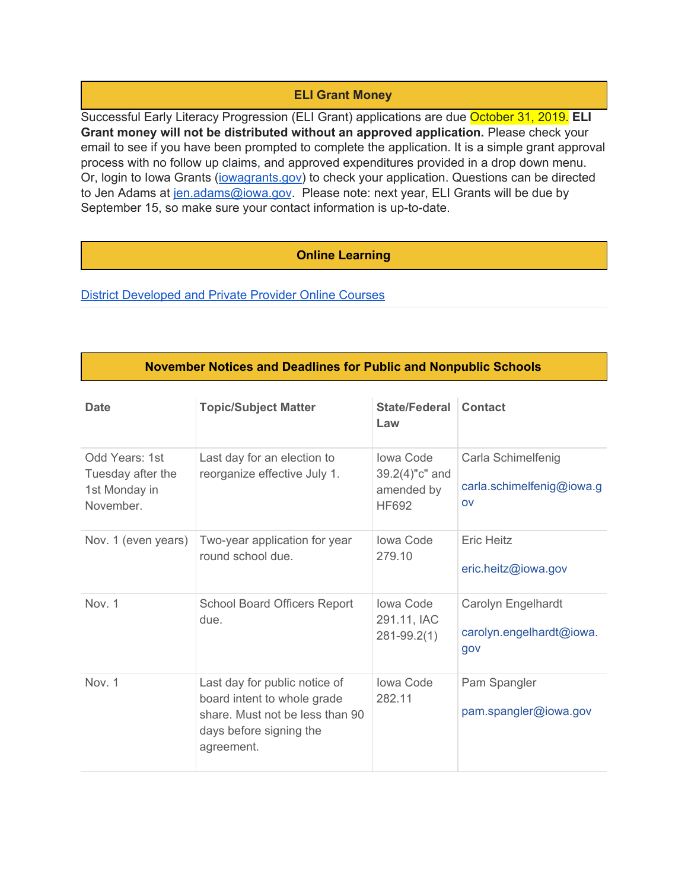## **ELI Grant Money**

Successful Early Literacy Progression (ELI Grant) applications are due October 31, 2019. **ELI Grant money will not be distributed without an approved application.** Please check your email to see if you have been prompted to complete the application. It is a simple grant approval process with no follow up claims, and approved expenditures provided in a drop down menu. Or, login to Iowa Grants ([iowagrants.gov](http://iowagrants.gov/)) to check your application. Questions can be directed to Jen Adams at jen.adams@jowa.gov. Please note: next year, ELI Grants will be due by September 15, so make sure your contact information is up-to-date.

### **Online Learning**

District [Developed](https://educateiowa.gov/pk-12/online-learning) and Private Provider Online Courses

### **November Notices and Deadlines for Public and Nonpublic Schools**

| <b>Date</b>                                                       | <b>Topic/Subject Matter</b>                                                                                                              | State/Federal<br>Law                                             | Contact                                               |
|-------------------------------------------------------------------|------------------------------------------------------------------------------------------------------------------------------------------|------------------------------------------------------------------|-------------------------------------------------------|
| Odd Years: 1st<br>Tuesday after the<br>1st Monday in<br>November. | Last day for an election to<br>reorganize effective July 1.                                                                              | <b>Iowa Code</b><br>39.2(4)"c" and<br>amended by<br><b>HF692</b> | Carla Schimelfenig<br>carla.schimelfenig@iowa.g<br>OV |
| Nov. 1 (even years)                                               | Two-year application for year<br>round school due.                                                                                       | <b>Iowa Code</b><br>279.10                                       | Eric Heitz<br>eric.heitz@iowa.gov                     |
| Nov. 1                                                            | <b>School Board Officers Report</b><br>due.                                                                                              | <b>Iowa Code</b><br>291.11, IAC<br>$281 - 99.2(1)$               | Carolyn Engelhardt<br>carolyn.engelhardt@iowa.<br>gov |
| Nov. 1                                                            | Last day for public notice of<br>board intent to whole grade<br>share. Must not be less than 90<br>days before signing the<br>agreement. | Iowa Code<br>282.11                                              | Pam Spangler<br>pam.spangler@iowa.gov                 |